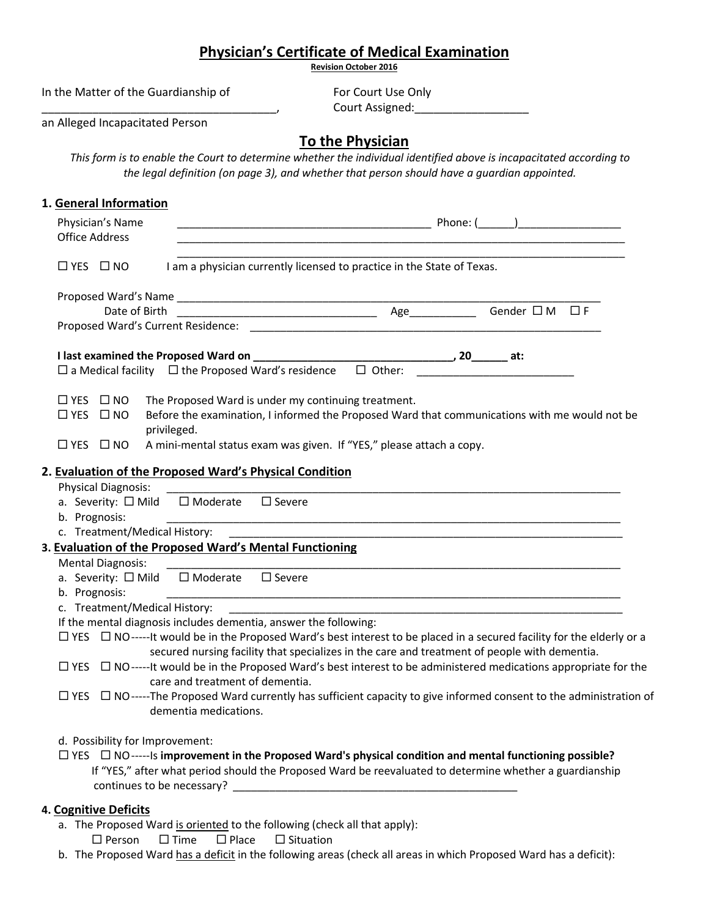|  | <b>Physician's Certificate of Medical Examination</b> |
|--|-------------------------------------------------------|
|  |                                                       |

**Revision October 2016**

| In the Matter of the Guardianship of | For Court Use Only |  |
|--------------------------------------|--------------------|--|
|                                      | Court Assigned:    |  |
|                                      |                    |  |

an Alleged Incapacitated Person

# **To the Physician**

*This form is to enable the Court to determine whether the individual identified above is incapacitated according to the legal definition (on page 3), and whether that person should have a guardian appointed.*

| 1. General Information              |                                                                                                                                                                                                                                |
|-------------------------------------|--------------------------------------------------------------------------------------------------------------------------------------------------------------------------------------------------------------------------------|
| Physician's Name                    | Phone: $($                                                                                                                                                                                                                     |
| <b>Office Address</b>               |                                                                                                                                                                                                                                |
| $\Box$ YES $\Box$ NO                | I am a physician currently licensed to practice in the State of Texas.                                                                                                                                                         |
|                                     |                                                                                                                                                                                                                                |
|                                     |                                                                                                                                                                                                                                |
|                                     |                                                                                                                                                                                                                                |
|                                     |                                                                                                                                                                                                                                |
|                                     | $\Box$ a Medical facility $\Box$ the Proposed Ward's residence                                                                                                                                                                 |
| $\Box$ YES $\Box$ NO                | The Proposed Ward is under my continuing treatment.                                                                                                                                                                            |
| $\Box$ YES $\Box$ NO<br>privileged. | Before the examination, I informed the Proposed Ward that communications with me would not be                                                                                                                                  |
| $\Box$ YES $\Box$ NO                | A mini-mental status exam was given. If "YES," please attach a copy.                                                                                                                                                           |
|                                     | 2. Evaluation of the Proposed Ward's Physical Condition                                                                                                                                                                        |
| <b>Physical Diagnosis:</b>          |                                                                                                                                                                                                                                |
| a. Severity: □ Mild                 | $\square$ Moderate<br>$\square$ Severe                                                                                                                                                                                         |
| b. Prognosis:                       |                                                                                                                                                                                                                                |
| c. Treatment/Medical History:       |                                                                                                                                                                                                                                |
|                                     | 3. Evaluation of the Proposed Ward's Mental Functioning                                                                                                                                                                        |
| <b>Mental Diagnosis:</b>            |                                                                                                                                                                                                                                |
| a. Severity: □ Mild                 | $\Box$ Moderate $\Box$ Severe                                                                                                                                                                                                  |
| b. Prognosis:                       | <u> 1989 - Johann Stoff, amerikansk politiker (d. 1989)</u>                                                                                                                                                                    |
| c. Treatment/Medical History:       |                                                                                                                                                                                                                                |
|                                     | If the mental diagnosis includes dementia, answer the following:                                                                                                                                                               |
|                                     | □ YES □ NO-----It would be in the Proposed Ward's best interest to be placed in a secured facility for the elderly or a                                                                                                        |
|                                     | secured nursing facility that specializes in the care and treatment of people with dementia.                                                                                                                                   |
|                                     | $\Box$ YES $\Box$ NO------It would be in the Proposed Ward's best interest to be administered medications appropriate for the<br>care and treatment of dementia.                                                               |
|                                     | $\Box$ YES $\Box$ NO-----The Proposed Ward currently has sufficient capacity to give informed consent to the administration of<br>dementia medications.                                                                        |
| d. Possibility for Improvement:     |                                                                                                                                                                                                                                |
|                                     | $\Box$ YES $\Box$ NO------Is improvement in the Proposed Ward's physical condition and mental functioning possible?<br>If "YES," after what period should the Proposed Ward be reevaluated to determine whether a guardianship |
|                                     |                                                                                                                                                                                                                                |

### **4. Cognitive Deficits**

a. The Proposed Ward is oriented to the following (check all that apply):

 $\square$  Person  $\square$  Time  $\square$  Place  $\square$  Situation

b. The Proposed Ward has a deficit in the following areas (check all areas in which Proposed Ward has a deficit):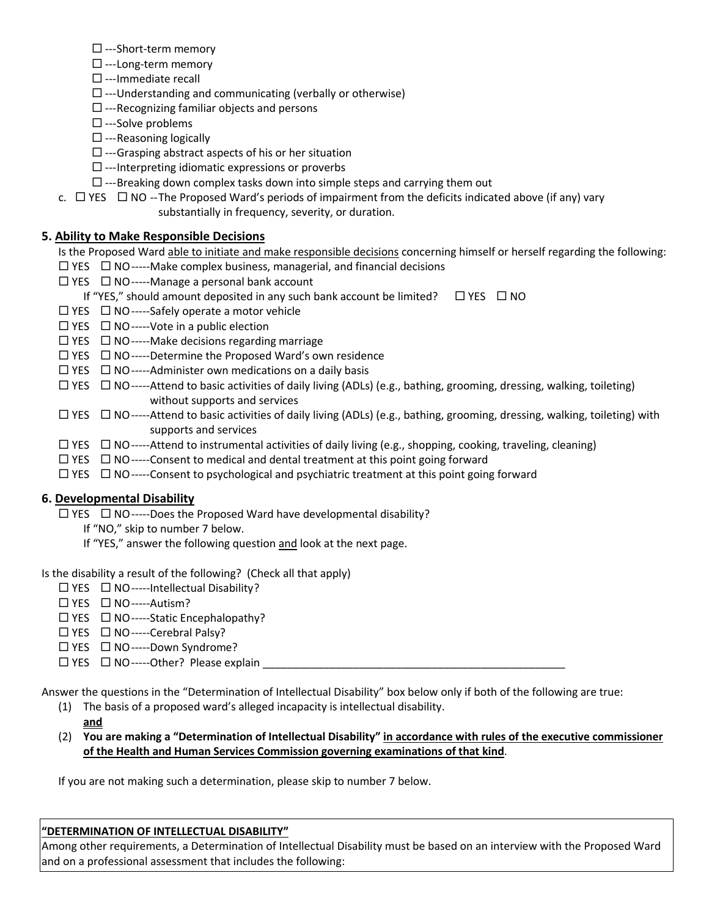- $\square$  ---Short-term memory
- $\square$  ---Long-term memory
- $\square$  ---Immediate recall
- $\square$  ---Understanding and communicating (verbally or otherwise)
- $\square$  ---Recognizing familiar objects and persons
- $\square$  ---Solve problems
- $\square$  ---Reasoning logically
- $\square$  ---Grasping abstract aspects of his or her situation
- $\square$  ---Interpreting idiomatic expressions or proverbs
- $\square$  ---Breaking down complex tasks down into simple steps and carrying them out
- c.  $\Box$  YES  $\Box$  NO --The Proposed Ward's periods of impairment from the deficits indicated above (if any) vary substantially in frequency, severity, or duration.

### **5. Ability to Make Responsible Decisions**

Is the Proposed Ward able to initiate and make responsible decisions concerning himself or herself regarding the following:

- $\Box$  YES  $\Box$  NO-----Make complex business, managerial, and financial decisions
- $\Box$  YES  $\Box$  NO-----Manage a personal bank account

If "YES," should amount deposited in any such bank account be limited?  $\square$  YES  $\square$  NO

- $\Box$  YES  $\Box$  NO-----Safely operate a motor vehicle
- $\Box$  YES  $\Box$  NO-----Vote in a public election
- $\Box$  YES  $\Box$  NO-----Make decisions regarding marriage
- $\Box$  YES  $\Box$  NO-----Determine the Proposed Ward's own residence
- $\Box$  YES  $\Box$  NO-----Administer own medications on a daily basis
- YES NO-----Attend to basic activities of daily living (ADLs) (e.g., bathing, grooming, dressing, walking, toileting) without supports and services
- $\Box$  YES  $\Box$  NO-----Attend to basic activities of daily living (ADLs) (e.g., bathing, grooming, dressing, walking, toileting) with supports and services
- $\Box$  YES  $\Box$  NO-----Attend to instrumental activities of daily living (e.g., shopping, cooking, traveling, cleaning)
- $\Box$  YES  $\Box$  NO-----Consent to medical and dental treatment at this point going forward
- $\Box$  YES  $\Box$  NO-----Consent to psychological and psychiatric treatment at this point going forward

#### **6. Developmental Disability**

- $\Box$  YES  $\Box$  NO-----Does the Proposed Ward have developmental disability?
	- If "NO," skip to number 7 below.
	- If "YES," answer the following question and look at the next page.

#### Is the disability a result of the following? (Check all that apply)

- $\Box$  YES  $\Box$  NO-----Intellectual Disability?
- $\Box$  YES  $\Box$  NO-----Autism?
- $\Box$  YES  $\Box$  NO-----Static Encephalopathy?
- $\Box$  YES  $\Box$  NO-----Cerebral Palsy?
- $\Box$  YES  $\Box$  NO-----Down Syndrome?
- YES NO-----Other? Please explain \_\_\_\_\_\_\_\_\_\_\_\_\_\_\_\_\_\_\_\_\_\_\_\_\_\_\_\_\_\_\_\_\_\_\_\_\_\_\_\_\_\_\_\_\_\_\_\_\_\_

Answer the questions in the "Determination of Intellectual Disability" box below only if both of the following are true:

- (1) The basis of a proposed ward's alleged incapacity is intellectual disability. **and**
- (2) **You are making a "Determination of Intellectual Disability" in accordance with rules of the executive commissioner of the Health and Human Services Commission governing examinations of that kind**.

If you are not making such a determination, please skip to number 7 below.

#### **"DETERMINATION OF INTELLECTUAL DISABILITY"**

Among other requirements, a Determination of Intellectual Disability must be based on an interview with the Proposed Ward and on a professional assessment that includes the following: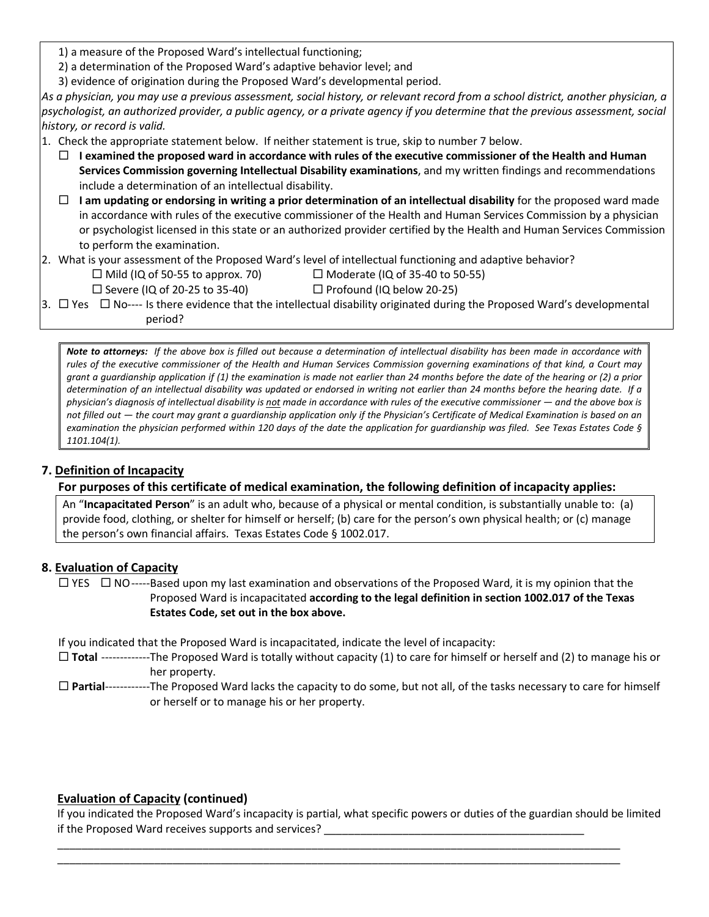1) a measure of the Proposed Ward's intellectual functioning;

2) a determination of the Proposed Ward's adaptive behavior level; and

3) evidence of origination during the Proposed Ward's developmental period.

*As a physician, you may use a previous assessment, social history, or relevant record from a school district, another physician, a psychologist, an authorized provider, a public agency, or a private agency if you determine that the previous assessment, social history, or record is valid.*

- 1. Check the appropriate statement below. If neither statement is true, skip to number 7 below.
	- **I examined the proposed ward in accordance with rules of the executive commissioner of the Health and Human Services Commission governing Intellectual Disability examinations**, and my written findings and recommendations include a determination of an intellectual disability.
	- **I** am updating or endorsing in writing a prior determination of an intellectual disability for the proposed ward made in accordance with rules of the executive commissioner of the Health and Human Services Commission by a physician or psychologist licensed in this state or an authorized provider certified by the Health and Human Services Commission to perform the examination.

2. What is your assessment of the Proposed Ward's level of intellectual functioning and adaptive behavior?

- - $\Box$  Mild (IQ of 50-55 to approx. 70)  $\Box$  Moderate (IQ of 35-40 to 50-55)
	- $\Box$  Severe (IQ of 20-25 to 35-40)  $\Box$  Profound (IQ below 20-25)
- 3.  $\Box$  Yes  $\Box$  No---- Is there evidence that the intellectual disability originated during the Proposed Ward's developmental period?

*Note to attorneys: If the above box is filled out because a determination of intellectual disability has been made in accordance with rules of the executive commissioner of the Health and Human Services Commission governing examinations of that kind, a Court may grant a guardianship application if (1) the examination is made not earlier than 24 months before the date of the hearing or (2) a prior determination of an intellectual disability was updated or endorsed in writing not earlier than 24 months before the hearing date. If a physician's diagnosis of intellectual disability is not made in accordance with rules of the executive commissioner — and the above box is not filled out — the court may grant a guardianship application only if the Physician's Certificate of Medical Examination is based on an examination the physician performed within 120 days of the date the application for guardianship was filed. See Texas Estates Code § 1101.104(1).*

# **7. Definition of Incapacity**

# **For purposes of this certificate of medical examination, the following definition of incapacity applies:**

An "**Incapacitated Person**" is an adult who, because of a physical or mental condition, is substantially unable to: (a) provide food, clothing, or shelter for himself or herself; (b) care for the person's own physical health; or (c) manage the person's own financial affairs. Texas Estates Code § 1002.017.

# **8. Evaluation of Capacity**

 $\Box$  YES  $\Box$  NO-----Based upon my last examination and observations of the Proposed Ward, it is my opinion that the Proposed Ward is incapacitated **according to the legal definition in section 1002.017 of the Texas Estates Code, set out in the box above.**

If you indicated that the Proposed Ward is incapacitated, indicate the level of incapacity:

- **Total** -------------The Proposed Ward is totally without capacity (1) to care for himself or herself and (2) to manage his or her property.
- **Partial**------------The Proposed Ward lacks the capacity to do some, but not all, of the tasks necessary to care for himself or herself or to manage his or her property.

# **Evaluation of Capacity (continued)**

If you indicated the Proposed Ward's incapacity is partial, what specific powers or duties of the guardian should be limited if the Proposed Ward receives supports and services?

\_\_\_\_\_\_\_\_\_\_\_\_\_\_\_\_\_\_\_\_\_\_\_\_\_\_\_\_\_\_\_\_\_\_\_\_\_\_\_\_\_\_\_\_\_\_\_\_\_\_\_\_\_\_\_\_\_\_\_\_\_\_\_\_\_\_\_\_\_\_\_\_\_\_\_\_\_\_\_\_\_\_\_\_\_\_\_\_\_\_\_\_\_ \_\_\_\_\_\_\_\_\_\_\_\_\_\_\_\_\_\_\_\_\_\_\_\_\_\_\_\_\_\_\_\_\_\_\_\_\_\_\_\_\_\_\_\_\_\_\_\_\_\_\_\_\_\_\_\_\_\_\_\_\_\_\_\_\_\_\_\_\_\_\_\_\_\_\_\_\_\_\_\_\_\_\_\_\_\_\_\_\_\_\_\_\_